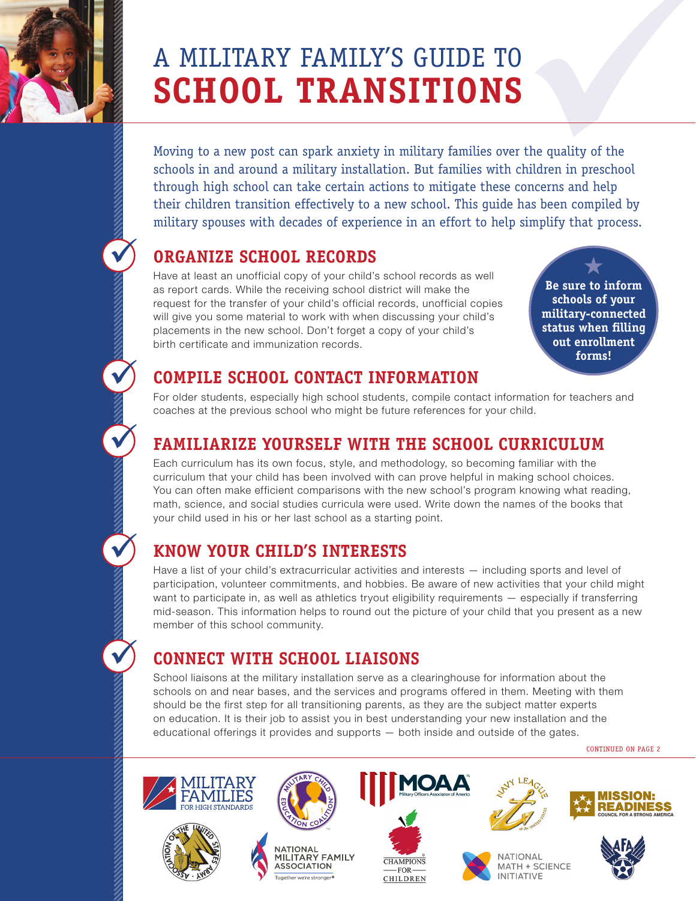

ü

ü

ü

ü

ü

# **SCHOOL TRANSITIONS**

A MILITARY FAMILY'S GUIDE TO<br>
SCHOOL TRANSITIONS<br>
Moving to a new post can spark anxiety in military families over the quality of the<br>schools in and around a military installation. But families with children in preschool<br>t Moving to a new post can spark anxiety in military families over the quality of the schools in and around a military installation. But families with children in preschool through high school can take certain actions to mitigate these concerns and help their children transition effectively to a new school. This guide has been compiled by military spouses with decades of experience in an effort to help simplify that process.

## **ORGANIZE SCHOOL RECORDS**

Have at least an unofficial copy of your child's school records as well as report cards. While the receiving school district will make the request for the transfer of your child's official records, unofficial copies will give you some material to work with when discussing your child's placements in the new school. Don't forget a copy of your child's birth certificate and immunization records.

 $\bigstar$ **Be sure to inform schools of your military-connected status when filling out enrollment forms!**

## **COMPILE SCHOOL CONTACT INFORMATION**

For older students, especially high school students, compile contact information for teachers and coaches at the previous school who might be future references for your child.

## **FAMILIARIZE YOURSELF WITH THE SCHOOL CURRICULUM**

Each curriculum has its own focus, style, and methodology, so becoming familiar with the curriculum that your child has been involved with can prove helpful in making school choices. You can often make efficient comparisons with the new school's program knowing what reading, math, science, and social studies curricula were used. Write down the names of the books that your child used in his or her last school as a starting point.

# **KNOW YOUR CHILD'S INTERESTS**

Have a list of your child's extracurricular activities and interests — including sports and level of participation, volunteer commitments, and hobbies. Be aware of new activities that your child might want to participate in, as well as athletics tryout eligibility requirements — especially if transferring mid-season. This information helps to round out the picture of your child that you present as a new member of this school community.

# **CONNECT WITH SCHOOL LIAISONS**

School liaisons at the military installation serve as a clearinghouse for information about the schools on and near bases, and the services and programs offered in them. Meeting with them should be the first step for all transitioning parents, as they are the subject matter experts on education. It is their job to assist you in best understanding your new installation and the educational offerings it provides and supports — both inside and outside of the gates.

CONTINUED ON PAGE 2